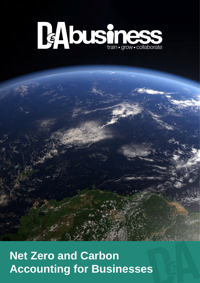

# **Net Zero and Carbon Accounting for Businesses**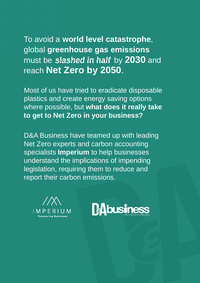To avoid a **world level catastrophe**, global **greenhouse gas emissions** must be slashed in half by 2030 and reach **Net Zero by 2050**.

Most of us have tried to eradicate disposable plastics and create energy saving options where possible, but **what does it really take to get to Net Zero in your business?**

D&A Business have teamed up with leading Net Zero experts and carbon accounting specialists **Imperium** to help businesses understand the implications of impending legislation, requiring them to reduce and report their carbon emissions.



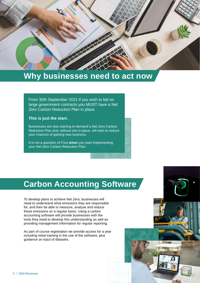

## **Why businesses need to act now**

From 30th September 2021 if you wish to bid on large government contracts you MUST have a Net Zero Carbon Reduction Plan in place.

#### **This is just the start.**

Businesses are also starting to demand a Net Zero Carbon Reduction Plan and, without one in place, will start to reduce your chances of gaining new business.

It is not a question of if but **when** you start implementing your Net Zero Carbon Reduction Plan.

# **Carbon Accounting Software**

To develop plans to achieve Net Zero, businesses will need to understand what emissions they are responsible for, and then be able to measure, analyse and reduce these emissions on a regular basis. Using a carbon accounting software will provide businesses with the tools they need to develop this understanding as well as providing management information for regular reporting.

As part of course registration we provide access for a year including initial training in the use of the software, plus guidance on input of datasets.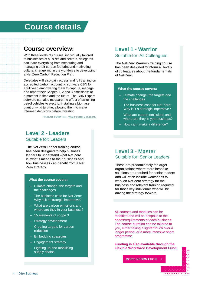# **Course details**

### **Course overview:**

With three levels of courses, individually tailored to businesses of all sizes and sectors, delegates can learn everything from measuring and managing their carbon footprint and motivating cultural change within the workforce to developing a Net Zero Carbon Reduction Plan.

Delegates will also gain access and full training on accredited carbon accounting software CBN for a full year, empowering them to capture, manage and report their Scopes 1, 2 and 3 emissions\* at a moment in time and the future. The CBN Expert software can also measure the effect of switching petrol vehicles to electric, installing a biomass plant or wind turbine, allowing them to make informed decisions before investing.

\* Resource: Carbon Trust – [What are Scope 3 emissions?](https://www.carbontrust.com/resources/briefing-what-are-scope-3-emissions)

#### **Level 2 - Leaders** Suitable for: Leaders

The Net Zero Leader training course has been designed to help business leaders to understand what Net Zero is, what it means to their business and how businesses can benefit from a Net Zero strategy.

#### **What the course covers:**

- ‒ Climate change: the targets and the challenges
- ‒ The business case for Net Zero: Why is it a strategic imperative?
- ‒ What are carbon emissions and where are they in your business?
- 15 elements of scope 3
- ‒ Strategy development
- Creating targets for carbon reduction
- $-$  Embedding strategies
- ‒ Engagement strategy
- $-$  Lighting up and mobilising supply chains

#### **Level 1 - Warrior** Suitable for: All Colleagues

The Net Zero Warriors training course has been designed to inform all levels of colleagues about the fundamentals of Net Zero.

#### **What the course covers:**

- ‒ Climate change: the targets and the challenges
- ‒ The business case for Net Zero: Why is it a strategic imperative?
- What are carbon emissions and where are they in your business?
- ‒ How can I make a difference?

#### **Level 3 - Master** Suitable for: Senior Leaders

These are predominately for larger organisations where more bespoke solutions are required for senior leaders and will often include workshops to work on Net Zero strategy for the business and relevant training required for those key individuals who will be driving the strategy forward.

All courses and modules can be modified and will be bespoke to the needs/requirements of each business. The course duration can be tailored to you, either taking a lighter touch over a longer period, or a more intensive short programme.

**Funding is also available through the Flexible Workforce Development Fund.**

**MORE INFORMATION**